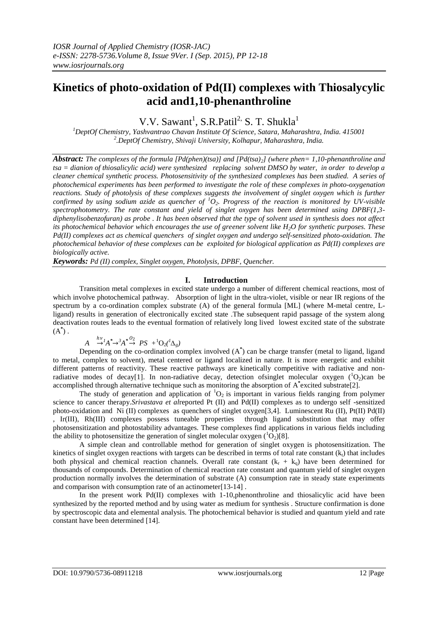# **Kinetics of photo-oxidation of Pd(II) complexes with Thiosalycylic acid and1,10-phenanthroline**

V.V. Sawant<sup>1</sup>, S.R.Patil<sup>2,</sup> S. T. Shukla<sup>1</sup>

*<sup>1</sup>DeptOf Chemistry, Yashvantrao Chavan Institute Of Science, Satara, Maharashtra, India. 415001 2 .DeptOf Chemistry, Shivaji University, Kolhapur, Maharashtra, India.*

*Abstract: The complexes of the formula [Pd(phen)(tsa)] and [Pd(tsa)2] (where phen= 1,10-phenanthroline and tsa = dianion of thiosalicylic acid) were synthesized replacing solvent DMSO by water, in order to develop a cleaner chemical synthetic process. Photosensitivity of the synthesized complexes has been studied. A series of photochemical experiments has been performed to investigate the role of these complexes in photo-oxygenation reactions. Study of photolysis of these complexes suggests the involvement of singlet oxygen which is further confirmed by using sodium azide as quencher of <sup>1</sup>O2. Progress of the reaction is monitored by UV-visible spectrophotometry. The rate constant and yield of singlet oxygen has been determined using DPBF(1,3 diphenylisobenzofuran) as probe . It has been observed that the type of solvent used in synthesis does not affect its photochemical behavior which encourages the use of greener solvent like H2O for synthetic purposes. These Pd(II) complexes act as chemical quenchers of singlet oxygen and undergo self-sensitized photo-oxidation. The photochemical behavior of these complexes can be exploited for biological application as Pd(II) complexes are biologically active.*

*Keywords: Pd (II) complex, Singlet oxygen, Photolysis, DPBF, Quencher.*

# **I. Introduction**

Transition metal complexes in excited state undergo a number of different chemical reactions, most of which involve photochemical pathway. Absorption of light in the ultra-violet, visible or near IR regions of the spectrum by a co-ordination complex substrate (A) of the general formula [ML] (where M-metal centre, Lligand) results in generation of electronically excited state .The subsequent rapid passage of the system along deactivation routes leads to the eventual formation of relatively long lived lowest excited state of the substrate  $(A^*)$ .

$$
A \stackrel{hv}{\rightarrow} A^* \rightarrow^3 A^* \stackrel{O_2}{\rightarrow} PS + ^1O_2(^1\Delta_g)
$$

Depending on the co-ordination complex involved (A **\*** ) can be charge transfer (metal to ligand, ligand to metal, complex to solvent), metal centered or ligand localized in nature. It is more energetic and exhibit different patterns of reactivity. These reactive pathways are kinetically competitive with radiative and nonradiative modes of decay[1]. In non-radiative decay, detection of singlet molecular oxygen  $(^1O_2)$ can be accomplished through alternative technique such as monitoring the absorption of A **\*** excited substrate[2].

The study of generation and application of  ${}^{1}O_{2}$  is important in various fields ranging from polymer science to cancer therapy.*Srivastava et al*reported Pt (II) and Pd(II) complexes as to undergo self -sensitized photo-oxidation and Ni (II) complexes as quenchers of singlet oxygen[3,4]. Luminescent Ru (II), Pt(II) Pd(II) , Ir(III), Rh(III) complexes possess tuneable properties through ligand substitution that may offer photosensitization and photostability advantages. These complexes find applications in various fields including the ability to photosensitize the generation of singlet molecular oxygen  $({}^{1}O_{2})[8]$ .

A simple clean and controllable method for generation of singlet oxygen is photosensitization. The kinetics of singlet oxygen reactions with targets can be described in terms of total rate constant  $(k<sub>t</sub>)$  that includes both physical and chemical reaction channels. Overall rate constant  $(k<sub>r</sub> + k<sub>q</sub>)$  have been determined for thousands of compounds. Determination of chemical reaction rate constant and quantum yield of singlet oxygen production normally involves the determination of substrate (A) consumption rate in steady state experiments and comparison with consumption rate of an actinometer[13-14] .

In the present work  $Pd(I)$  complexes with 1-10, phenonthroline and thiosalicylic acid have been synthesized by the reported method and by using water as medium for synthesis . Structure confirmation is done by spectroscopic data and elemental analysis. The photochemical behavior is studied and quantum yield and rate constant have been determined [14].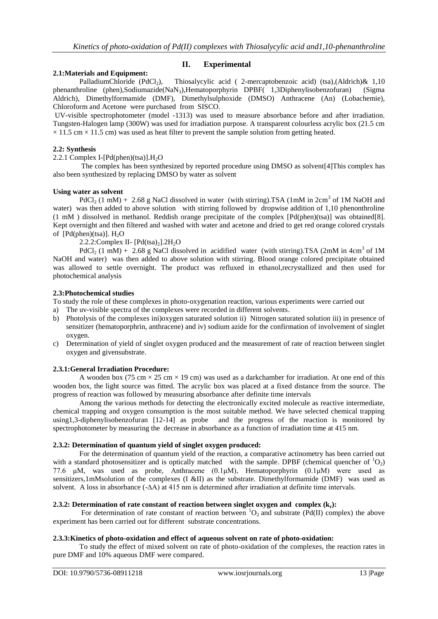#### **II. Experimental**

**2.1:Materials and Equipment:**<br>PalladiumChloride (PdCl<sub>2</sub>), Thiosalycylic acid (2-mercaptobenzoic acid) (tsa),(Aldrich) $\& 1,10$ phenanthroline (phen),Sodiumazide(NaN3),Hematoporphyrin DPBF( 1,3Diphenylisobenzofuran) (Sigma Aldrich), Dimethylformamide (DMF), Dimethylsulphoxide (DMSO) Anthracene (An) (Lobachemie), Chloroform and Acetone were purchased from SISCO.

UV-visible spectrophotometer (model -1313) was used to measure absorbance before and after irradiation. Tungsten-Halogen lamp (300W) was used for irradiation purpose. A transparent colourless acrylic box (21.5 cm  $\times$  11.5 cm  $\times$  11.5 cm) was used as heat filter to prevent the sample solution from getting heated.

#### **2.2: Synthesis**

#### 2.2.1 Complex I-[Pd(phen)(tsa)]. $H_2O$

The complex has been synthesized by reported procedure using DMSO as solvent[4]This complex has also been synthesized by replacing DMSO by water as solvent

#### **Using water as solvent**

PdCl<sub>2</sub> (1 mM) + 2.68 g NaCl dissolved in water (with stirring).TSA (1mM in 2cm<sup>3</sup> of 1M NaOH and water) was then added to above solution with stirring followed by dropwise addition of 1.10 phenonthroline (1 mM ) dissolved in methanol. Reddish orange precipitate of the complex [Pd(phen)(tsa)] was obtained[8]. Kept overnight and then filtered and washed with water and acetone and dried to get red orange colored crystals of  $[Pd(phen)(tsa)]$ . H<sub>2</sub>O

2.2.2: Complex II-  $[Pd(tsa)<sub>2</sub>].2H<sub>2</sub>O$ 

PdCl<sub>2</sub> (1 mM) + 2.68 g NaCl dissolved in acidified water (with stirring).TSA (2mM in  $4cm<sup>3</sup>$  of 1M NaOH and water) was then added to above solution with stirring. Blood orange colored precipitate obtained was allowed to settle overnight. The product was refluxed in ethanol,recrystallized and then used for photochemical analysis

#### **2.3:Photochemical studies**

To study the role of these complexes in photo-oxygenation reaction, various experiments were carried out

- a) The uv-visible spectra of the complexes were recorded in different solvents.
- b) Photolysis of the complexes ini)oxygen saturated solution ii) Nitrogen saturated solution iii) in presence of sensitizer (hematoporphrin, anthracene) and iv) sodium azide for the confirmation of involvement of singlet oxygen.
- c) Determination of yield of singlet oxygen produced and the measurement of rate of reaction between singlet oxygen and givensubstrate.

#### **2.3.1:General Irradiation Procedure:**

A wooden box (75 cm  $\times$  25 cm  $\times$  19 cm) was used as a darkchamber for irradiation. At one end of this wooden box, the light source was fitted. The acrylic box was placed at a fixed distance from the source. The progress of reaction was followed by measuring absorbance after definite time intervals

Among the various methods for detecting the electronically excited molecule as reactive intermediate, chemical trapping and oxygen consumption is the most suitable method. We have selected chemical trapping using1,3-diphenylisobenzofuran [12-14] as probe and the progress of the reaction is monitored by spectrophotometer by measuring the decrease in absorbance as a function of irradiation time at 415 nm.

#### **2.3.2: Determination of quantum yield of singlet oxygen produced:**

For the determination of quantum yield of the reaction, a comparative actinometry has been carried out with a standard photosensitizer and is optically matched with the sample. DPBF (chemical quencher of  ${}^{1}O_{2}$ ) 77.6 μM, was used as probe, Anthracene (0.1μM), Hematoporphyrin (0.1μM) were used as sensitizers,1mMsolution of the complexes (I &II) as the substrate. Dimethylformamide (DMF) was used as solvent. A loss in absorbance (-∆A) at 415 nm is determined after irradiation at definite time intervals.

#### **2.3.2: Determination of rate constant of reaction between singlet oxygen and complex (kr):**

For determination of rate constant of reaction between  ${}^{1}O_{2}$  and substrate (Pd(II) complex) the above experiment has been carried out for different substrate concentrations.

#### **2.3.3:Kinetics of photo-oxidation and effect of aqueous solvent on rate of photo-oxidation:**

To study the effect of mixed solvent on rate of photo-oxidation of the complexes, the reaction rates in pure DMF and 10% aqueous DMF were compared.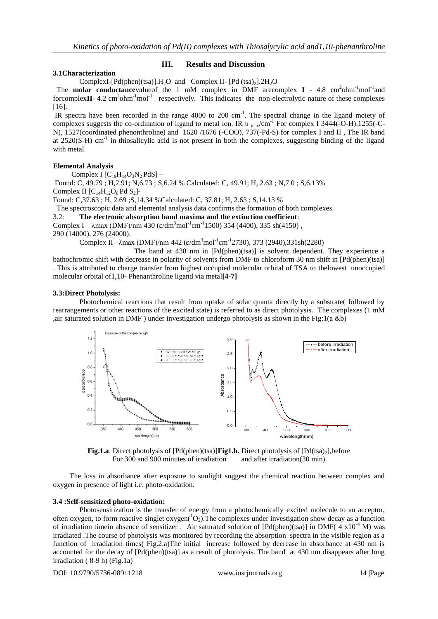### **3.1Characterization**

### **III. Results and Discussion**

ComplexI-[Pd(phen)(tsa)].H<sub>2</sub>O and Complex II- [Pd (tsa)<sub>2</sub>].2H<sub>2</sub>O

The **molar conductance**value of the 1 mM complex in DMF arecomplex **I** - 4.8 cm<sup>2</sup>ohm<sup>-1</sup>mol<sup>-1</sup>and forcomplex $II - 4.2$  cm<sup>2</sup>ohm<sup>-1</sup>mol<sup>-1</sup> respectively. This indicates the non-electrolytic nature of these complexes [16].

IR spectra have been recorded in the range  $4000$  to  $200 \text{ cm}^{-1}$ . The spectral change in the ligand moiety of complexes suggests the co-ordination of ligand to metal ion. IR  $v_{max}/cm^{-1}$  For complex I 3444(-O-H),1255(-C-N), 1527(coordinated phenonthroline) and 1620 /1676 (-COO), 737(-Pd-S) for complex I and II , The IR band at 2520(S-H) cm<sup>-1</sup> in thiosalicylic acid is not present in both the complexes, suggesting binding of the ligand with metal.

#### **Elemental Analysis**

Complex I  $[C_{19}H_{14}O_3N_2PdS]$  – Found: C, 49.79 ; H,2.91; N,6.73 ; S,6.24 % Calculated: C, 49.91; H, 2.63 ; N,7.0 ; S,6.13% Complex II  $[C_{14}H_{12}O_6PdS_2]$ -Found: C,37.63 ; H, 2.69 ;S,14.34 %Calculated: C, 37.81; H, 2.63 ; S,14.13 % The spectroscopic data and elemental analysis data confirms the formation of both complexes. 3.2: **The electronic absorption band maxima and the extinction coefficient**:

Complex I – λmax (DMF)/nm  $\frac{430}{\text{ (ε/dm}^3 \text{mol}^{-1} \text{cm}^{-1} 1500)}$  354 (4400), 335 sh(4150), 290 (14000), 276 (24000).

Complex II – $λ$ max (DMF)/nm 442 (ε/dm<sup>3</sup>mol<sup>-1</sup>cm<sup>-1</sup>2730), 373 (2940),331sh(2280)

The band at 430 nm in [Pd(phen)(tsa)] is solvent dependent. They experience a bathochromic shift with decrease in polarity of solvents from DMF to chloroform 30 nm shift in [Pd(phen)(tsa)] . This is attributed to charge transfer from highest occupied molecular orbital of TSA to thelowest unoccupied molecular orbital of1,10- Phenanthroline ligand via metal**[4-7]**

#### **3.3:Direct Photolysis:**

Photochemical reactions that result from uptake of solar quanta directly by a substrate( followed by rearrangements or other reactions of the excited state) is referred to as direct photolysis. The complexes (1 mM ,air saturated solution in DMF ) under investigation undergo photolysis as shown in the Fig:1(a &b)



**Fig.1.a**. Direct photolysis of [Pd(phen)(tsa)]**Fig1.b.** Direct photolysis of [Pd(tsa)<sub>2</sub>],before For 300 and 900 minutes of irradiation and after irradiation(30 min) For  $300$  and  $900$  minutes of irradiation

The loss in absorbance after exposure to sunlight suggest the chemical reaction between complex and oxygen in presence of light i.e. photo-oxidation.

# **3.4 :Self-sensitized photo-oxidation:**

Photosensitization is the transfer of energy from a photochemically excited molecule to an acceptor, often oxygen, to form reactive singlet oxygen( ${}^{1}O_{2}$ ). The complexes under investigation show decay as a function of irradiation timein absence of sensitizer. Air saturated solution of  $[Pd(phen)(tsa)]$  in DMF( 4 x10<sup>-4</sup> M) was irradiated .The course of photolysis was monitored by recording the absorption spectra in the visible region as a function of irradiation times( Fig.2.a)The initial increase followed by decrease in absorbance at 430 nm is accounted for the decay of [Pd(phen)(tsa)] as a result of photolysis. The band at 430 nm disappears after long irradiation ( 8-9 h) (Fig.1a)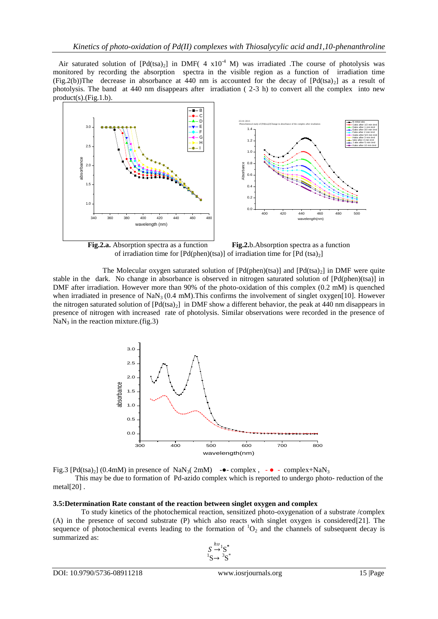Air saturated solution of  $[Pd(tsa)_2]$  in DMF( 4 x10<sup>-4</sup> M) was irradiated .The course of photolysis was monitored by recording the absorption spectra in the visible region as a function of irradiation time  $(Fig.2(b))$ The decrease in absorbance at 440 nm is accounted for the decay of  $[Pd(tsa)<sub>2</sub>]$  as a result of photolysis. The band at 440 nm disappears after irradiation ( 2-3 h) to convert all the complex into new product(s).(Fig.1.b).



**Fig.2.a.** Absorption spectra as a function **Fig.2.**b.Absorption spectra as a function of irradiation time for  $[Pd(phen)(tsa)]$  of irradiation time for  $[Pd (tsa)_2]$ 

The Molecular oxygen saturated solution of  $[Pd(phen)(tsa)]$  and  $[Pd(tsa)_2]$  in DMF were quite stable in the dark. No change in absorbance is observed in nitrogen saturated solution of [Pd(phen)(tsa)] in DMF after irradiation. However more than 90% of the photo-oxidation of this complex (0.2 mM) is quenched when irradiated in presence of NaN<sub>3</sub> (0.4 mM). This confirms the involvement of singlet oxygen[10]. However the nitrogen saturated solution of  $[Pd(tsa)<sub>2</sub>]$  in DMF show a different behavior, the peak at 440 nm disappears in presence of nitrogen with increased rate of photolysis. Similar observations were recorded in the presence of  $NaN<sub>3</sub>$  in the reaction mixture.(fig.3)





 This may be due to formation of Pd-azido complex which is reported to undergo photo- reduction of the metal[20] .

#### **3.5:Determination Rate constant of the reaction between singlet oxygen and complex**

To study kinetics of the photochemical reaction, sensitized photo-oxygenation of a substrate /complex (A) in the presence of second substrate (P) which also reacts with singlet oxygen is considered[21]. The sequence of photochemical events leading to the formation of  ${}^{1}O_{2}$  and the channels of subsequent decay is summarized as:

$$
S \stackrel{hv}{\rightarrow} S^*\\ ^1S \rightarrow {}^3S^*
$$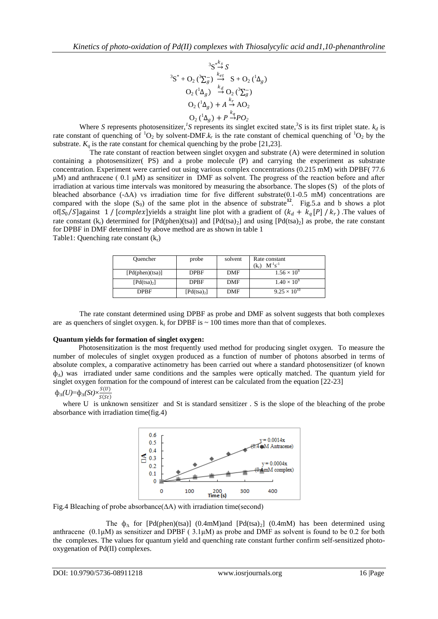$$
{}^{3}S^{*} \stackrel{S}{\rightarrow} S
$$
  
\n
$$
{}^{3}S^{*} + O_{2} ({}^{3}\Sigma_{g}^{-}) \stackrel{k_{et}}{\rightarrow} S + O_{2} ({}^{1}\Delta_{g})
$$
  
\n
$$
O_{2} ({}^{1}\Delta_{g}) \stackrel{k_{d}}{\rightarrow} O_{2} ({}^{3}\Sigma_{g}^{-})
$$
  
\n
$$
O_{2} ({}^{1}\Delta_{g}) + A \stackrel{k_{r}}{\rightarrow} AO_{2}
$$
  
\n
$$
O_{2} ({}^{1}\Delta_{g}) + P \stackrel{k_{q}}{\rightarrow} PO_{2}
$$

Where *S* represents photosensitizer,<sup>1</sup>S represents its singlet excited state,<sup>3</sup>S is its first triplet state.  $k_d$  is rate constant of quenching of  ${}^{1}O_2$  by solvent-DMF. $k_r$  is the rate constant of chemical quenching of  ${}^{1}O_2$  by the substrate.  $K_q$  is the rate constant for chemical quenching by the probe [21,23].

 The rate constant of reaction between singlet oxygen and substrate (A) were determined in solution containing a photosensitizer( PS) and a probe molecule (P) and carrying the experiment as substrate concentration. Experiment were carried out using various complex concentrations (0.215 mM) with DPBF( 77.6 μM) and anthracene ( 0.1 μM) as sensitizer in DMF as solvent. The progress of the reaction before and after irradiation at various time intervals was monitored by measuring the absorbance. The slopes (S) of the plots of bleached absorbance (-∆A) vs irradiation time for five different substrate(0.1-0.5 mM) concentrations are compared with the slope  $(S_0)$  of the same plot in the absence of substrate<sup>12</sup>. Fig.5.a and b shows a plot of[S<sub>0</sub>/S]against 1/[complex]yields a straight line plot with a gradient of  $(k_d + k_q[P]/k_r)$ . The values of rate constant ( $k_r$ ) determined for [Pd(phen)(tsa)] and [Pd(tsa)<sub>2</sub>] and using [Pd(tsa)<sub>2</sub>] as probe, the rate constant for DPBF in DMF determined by above method are as shown in table 1 Table1: Quenching rate constant  $(k_r)$ 

| <b>Ouencher</b>         | probe                   | solvent    | Rate constant<br>$M^{-1}s^{-1}$<br>$(k_r)$ |
|-------------------------|-------------------------|------------|--------------------------------------------|
| [Pd(phen)(tsa)]         | <b>DPBF</b>             | <b>DMF</b> | $1.56 \times 10^{9}$                       |
| [Pd(tsa) <sub>2</sub> ] | <b>DPBF</b>             | DMF        | $1.40 \times 10^{9}$                       |
| <b>DPBF</b>             | [Pd(tsa) <sub>2</sub> ] | <b>DMF</b> | $9.25 \times 10^{10}$                      |

The rate constant determined using DPBF as probe and DMF as solvent suggests that both complexes are as quenchers of singlet oxygen.  $k_r$  for DPBF is  $\sim 100$  times more than that of complexes.

#### **Quantum yields for formation of singlet oxygen:**

 Photosensitization is the most frequently used method for producing singlet oxygen. To measure the number of molecules of singlet oxygen produced as a function of number of photons absorbed in terms of absolute complex, a comparative actinometry has been carried out where a standard photosensitizer (of known ф∆) was irradiated under same conditions and the samples were optically matched. The quantum yield for singlet oxygen formation for the compound of interest can be calculated from the equation [22-23]

#### $\Phi_{\Delta}(U)=\Phi_{\Delta}(St)\times \frac{S(U)}{S(S_{\mathbf{t}})}$  $S(St)$

where U is unknown sensitizer and St is standard sensitizer. S is the slope of the bleaching of the probe absorbance with irradiation time(fig.4)



Fig.4 Bleaching of probe absorbance(∆A) with irradiation time(second)

The  $\phi_{\Lambda}$  for [Pd(phen)(tsa)] (0.4mM)and [Pd(tsa)<sub>2</sub>] (0.4mM) has been determined using anthracene (0.1 $\mu$ M) as sensitizer and DPBF (3.1 $\mu$ M) as probe and DMF as solvent is found to be 0.2 for both the complexes. The values for quantum yield and quenching rate constant further confirm self-sensitized photooxygenation of Pd(II) complexes.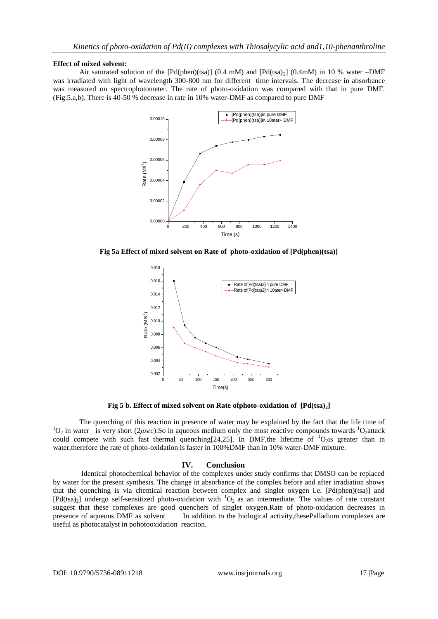#### **Effect of mixed solvent:**

Air saturated solution of the [Pd(phen)(tsa)] (0.4 mM) and [Pd(tsa)<sub>2</sub>] (0.4 mM) in 10 % water –DMF was irradiated with light of wavelength 300-800 nm for different time intervals. The decrease in absorbance was measured on spectrophotometer. The rate of photo-oxidation was compared with that in pure DMF. (Fig.5.a,b). There is 40-50 % decrease in rate in 10% water-DMF as compared to pure DMF



**Fig 5a Effect of mixed solvent on Rate of photo-oxidation of [Pd(phen)(tsa)]** 



**Fig 5 b. Effect of mixed solvent on Rate ofphoto-oxidation of [Pd(tsa)2]**

The quenching of this reaction in presence of water may be explained by the fact that the life time of  $1<sub>O</sub>$  in water is very short (2*μsec*). So in aqueous medium only the most reactive compounds towards  $1<sub>O</sub>$ attack could compete with such fast thermal quenching[24,25]. In DMF, the lifetime of  ${}^{1}O_{2}$  greater than in water, therefore the rate of photo-oxidation is faster in  $100\%$  DMF than in 10% water-DMF mixture.

# **IV. Conclusion**

Identical photochemical behavior of the complexes under study confirms that DMSO can be replaced by water for the present synthesis. The change in absorbance of the complex before and after irradiation shows that the quenching is via chemical reaction between complex and singlet oxygen i.e. [Pd(phen)(tsa)] and  $[Pd(tsa)_2]$  undergo self-sensitized photo-oxidation with  ${}^{1}O_2$  as an intermediate. The values of rate constant suggest that these complexes are good quenchers of singlet oxygen.Rate of photo-oxidation decreases in presence of aqueous DMF as solvent. In addition to the biological activity,thesePalladium complexes are useful as photocatalyst in pohotooxidation reaction.